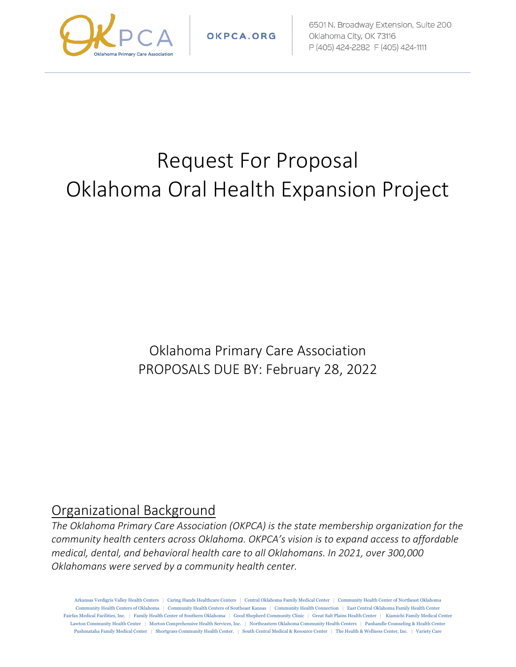

OKPCA.ORG

6501 N. Broadway Extension, Suite 200 Oklahoma City, OK 73116 P (405) 424-2282 F (405) 424-1111

# Request For Proposal Oklahoma Oral Health Expansion Project

Oklahoma Primary Care Association PROPOSALS DUE BY: February 28, 2022

#### Organizational Background

*The Oklahoma Primary Care Association (OKPCA) is the state membership organization for the community health centers across Oklahoma. OKPCA's vision is to expand access to affordable medical, dental, and behavioral health care to all Oklahomans. In 2021, over 300,000 Oklahomans were served by a community health center.*

Arkansas Verdigris Valley Health Centers | Caring Hands Healthcare Centers | Central Oklahoma Family Medical Center | Community Health Center of Northeast Oklahoma Community Health Centers of Oklahoma | Community Health Centers of Southeast Kansas | Community Health Connection | East Central Oklahoma Family Health Center Fairfax Medical Facilities, Inc. | Family Health Center of Southern Oklahoma | Good Shepherd Community Clinic | Great Salt Plains Health Center | Kiamichi Family Medical Center Lawton Community Health Center | Morton Comprehensive Health Services, Inc. | Northeastern Oklahoma Community Health Centers | Panhandle Counseling & Health Center Pushmataha Family Medical Center | Shortgrass Community Health Center. | South Central Medical & Resource Center | The Health & Wellness Center, Inc. | Variety Care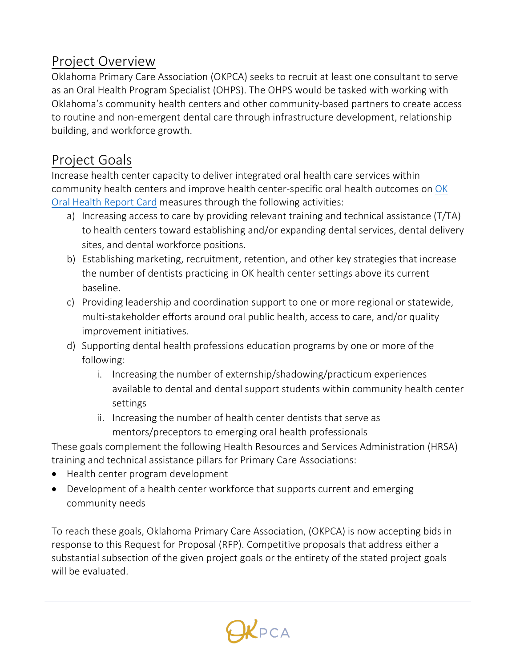#### Project Overview

Oklahoma Primary Care Association (OKPCA) seeks to recruit at least one consultant to serve as an Oral Health Program Specialist (OHPS). The OHPS would be tasked with working with Oklahoma's community health centers and other community-based partners to create access to routine and non-emergent dental care through infrastructure development, relationship building, and workforce growth.

### Project Goals

Increase health center capacity to deliver integrated oral health care services within community health centers and improve health center-specific oral health outcomes on [OK](http://www.oohc.org/aboutus/?page=reportcard)  [Oral Health Report Card](http://www.oohc.org/aboutus/?page=reportcard) measures through the following activities:

- a) Increasing access to care by providing relevant training and technical assistance (T/TA) to health centers toward establishing and/or expanding dental services, dental delivery sites, and dental workforce positions.
- b) Establishing marketing, recruitment, retention, and other key strategies that increase the number of dentists practicing in OK health center settings above its current baseline.
- c) Providing leadership and coordination support to one or more regional or statewide, multi-stakeholder efforts around oral public health, access to care, and/or quality improvement initiatives.
- d) Supporting dental health professions education programs by one or more of the following:
	- i. Increasing the number of externship/shadowing/practicum experiences available to dental and dental support students within community health center settings
	- ii. Increasing the number of health center dentists that serve as mentors/preceptors to emerging oral health professionals

These goals complement the following Health Resources and Services Administration (HRSA) training and technical assistance pillars for Primary Care Associations:

- Health center program development
- Development of a health center workforce that supports current and emerging community needs

To reach these goals, Oklahoma Primary Care Association, (OKPCA) is now accepting bids in response to this Request for Proposal (RFP). Competitive proposals that address either a substantial subsection of the given project goals or the entirety of the stated project goals will be evaluated.

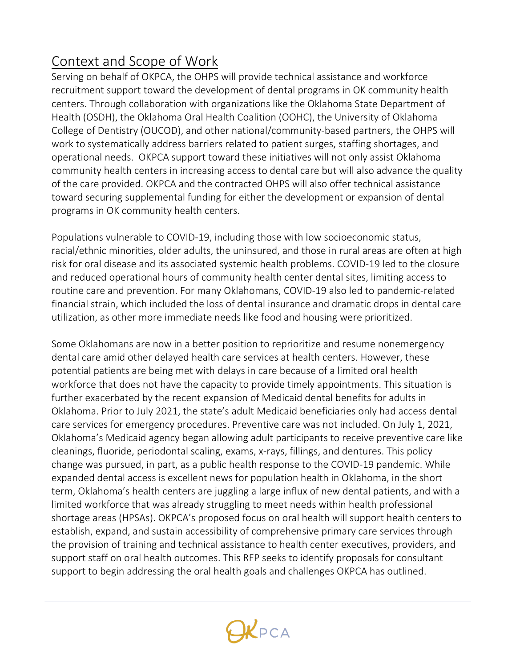# Context and Scope of Work

Serving on behalf of OKPCA, the OHPS will provide technical assistance and workforce recruitment support toward the development of dental programs in OK community health centers. Through collaboration with organizations like the Oklahoma State Department of Health (OSDH), the Oklahoma Oral Health Coalition (OOHC), the University of Oklahoma College of Dentistry (OUCOD), and other national/community-based partners, the OHPS will work to systematically address barriers related to patient surges, staffing shortages, and operational needs. OKPCA support toward these initiatives will not only assist Oklahoma community health centers in increasing access to dental care but will also advance the quality of the care provided. OKPCA and the contracted OHPS will also offer technical assistance toward securing supplemental funding for either the development or expansion of dental programs in OK community health centers.

Populations vulnerable to COVID-19, including those with low socioeconomic status, racial/ethnic minorities, older adults, the uninsured, and those in rural areas are often at high risk for oral disease and its associated systemic health problems. COVID-19 led to the closure and reduced operational hours of community health center dental sites, limiting access to routine care and prevention. For many Oklahomans, COVID-19 also led to pandemic-related financial strain, which included the loss of dental insurance and dramatic drops in dental care utilization, as other more immediate needs like food and housing were prioritized.

Some Oklahomans are now in a better position to reprioritize and resume nonemergency dental care amid other delayed health care services at health centers. However, these potential patients are being met with delays in care because of a limited oral health workforce that does not have the capacity to provide timely appointments. This situation is further exacerbated by the recent expansion of Medicaid dental benefits for adults in Oklahoma. Prior to July 2021, the state's adult Medicaid beneficiaries only had access dental care services for emergency procedures. Preventive care was not included. On July 1, 2021, Oklahoma's Medicaid agency began allowing adult participants to receive preventive care like cleanings, fluoride, periodontal scaling, exams, x-rays, fillings, and dentures. This policy change was pursued, in part, as a public health response to the COVID-19 pandemic. While expanded dental access is excellent news for population health in Oklahoma, in the short term, Oklahoma's health centers are juggling a large influx of new dental patients, and with a limited workforce that was already struggling to meet needs within health professional shortage areas (HPSAs). OKPCA's proposed focus on oral health will support health centers to establish, expand, and sustain accessibility of comprehensive primary care services through the provision of training and technical assistance to health center executives, providers, and support staff on oral health outcomes. This RFP seeks to identify proposals for consultant support to begin addressing the oral health goals and challenges OKPCA has outlined.

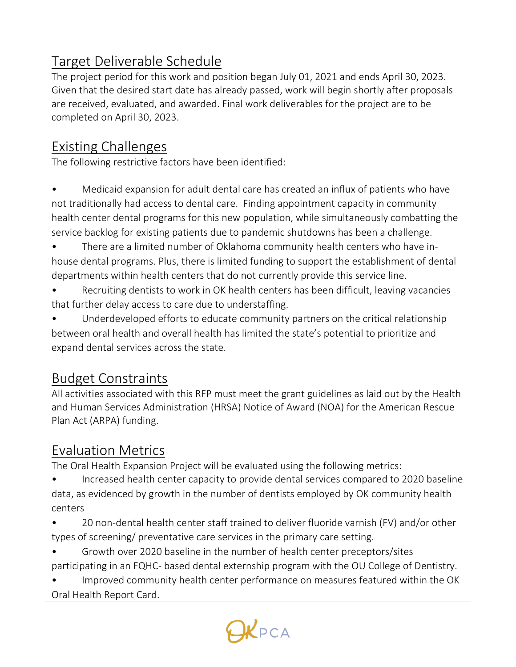## Target Deliverable Schedule

The project period for this work and position began July 01, 2021 and ends April 30, 2023. Given that the desired start date has already passed, work will begin shortly after proposals are received, evaluated, and awarded. Final work deliverables for the project are to be completed on April 30, 2023.

## Existing Challenges

The following restrictive factors have been identified:

• Medicaid expansion for adult dental care has created an influx of patients who have not traditionally had access to dental care. Finding appointment capacity in community health center dental programs for this new population, while simultaneously combatting the service backlog for existing patients due to pandemic shutdowns has been a challenge.

• There are a limited number of Oklahoma community health centers who have inhouse dental programs. Plus, there is limited funding to support the establishment of dental departments within health centers that do not currently provide this service line.

Recruiting dentists to work in OK health centers has been difficult, leaving vacancies that further delay access to care due to understaffing.

Underdeveloped efforts to educate community partners on the critical relationship between oral health and overall health has limited the state's potential to prioritize and expand dental services across the state.

## Budget Constraints

All activities associated with this RFP must meet the grant guidelines as laid out by the Health and Human Services Administration (HRSA) Notice of Award (NOA) for the American Rescue Plan Act (ARPA) funding.

## Evaluation Metrics

The Oral Health Expansion Project will be evaluated using the following metrics:

• Increased health center capacity to provide dental services compared to 2020 baseline data, as evidenced by growth in the number of dentists employed by OK community health centers

• 20 non-dental health center staff trained to deliver fluoride varnish (FV) and/or other types of screening/ preventative care services in the primary care setting.

• Growth over 2020 baseline in the number of health center preceptors/sites participating in an FQHC- based dental externship program with the OU College of Dentistry.

• Improved community health center performance on measures featured within the OK Oral Health Report Card.